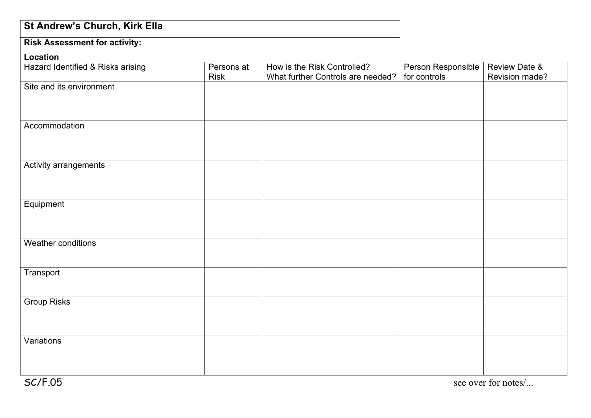| St Andrew's Church, Kirk Ella        |                           |                                                                  |                                    |                                            |
|--------------------------------------|---------------------------|------------------------------------------------------------------|------------------------------------|--------------------------------------------|
| <b>Risk Assessment for activity:</b> |                           |                                                                  |                                    |                                            |
| Location                             |                           |                                                                  |                                    |                                            |
| Hazard Identified & Risks arising    | Persons at<br><b>Risk</b> | How is the Risk Controlled?<br>What further Controls are needed? | Person Responsible<br>for controls | <b>Review Date &amp;</b><br>Revision made? |
| Site and its environment             |                           |                                                                  |                                    |                                            |
|                                      |                           |                                                                  |                                    |                                            |
| Accommodation                        |                           |                                                                  |                                    |                                            |
|                                      |                           |                                                                  |                                    |                                            |
| Activity arrangements                |                           |                                                                  |                                    |                                            |
|                                      |                           |                                                                  |                                    |                                            |
| Equipment                            |                           |                                                                  |                                    |                                            |
|                                      |                           |                                                                  |                                    |                                            |
| Weather conditions                   |                           |                                                                  |                                    |                                            |
|                                      |                           |                                                                  |                                    |                                            |
| Transport                            |                           |                                                                  |                                    |                                            |
| <b>Group Risks</b>                   |                           |                                                                  |                                    |                                            |
|                                      |                           |                                                                  |                                    |                                            |
| Variations                           |                           |                                                                  |                                    |                                            |
|                                      |                           |                                                                  |                                    |                                            |
|                                      |                           |                                                                  |                                    |                                            |